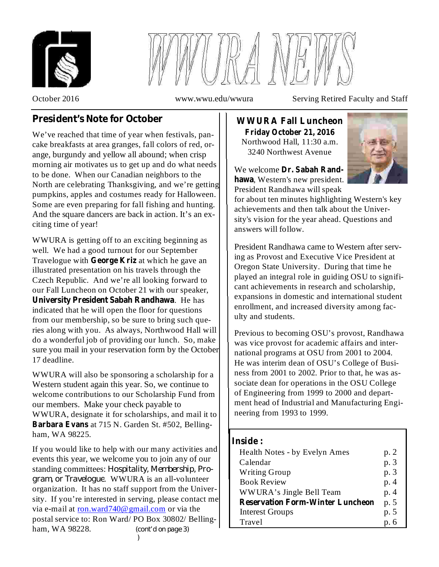



October 2016 www.wwu.edu/wwura Serving Retired Faculty and Staff

# **President's Note for October**

We've reached that time of year when festivals, pancake breakfasts at area granges, fall colors of red, orange, burgundy and yellow all abound; when crisp morning air motivates us to get up and do what needs to be done. When our Canadian neighbors to the North are celebrating Thanksgiving, and we're getting pumpkins, apples and costumes ready for Halloween. Some are even preparing for fall fishing and hunting. And the square dancers are back in action. It's an exciting time of year!

WWURA is getting off to an exciting beginning as well. We had a good turnout for our September Travelogue with George Kriz at which he gave an illustrated presentation on his travels through the Czech Republic. And we're all looking forward to our Fall Luncheon on October 21 with our speaker, **University President Sabah Randhawa**. He has indicated that he will open the floor for questions from our membership, so be sure to bring such queries along with you. As always, Northwood Hall will do a wonderful job of providing our lunch. So, make sure you mail in your reservation form by the October 17 deadline.

WWURA will also be sponsoring a scholarship for a Western student again this year. So, we continue to welcome contributions to our Scholarship Fund from our members. Make your check payable to WWURA, designate it for scholarships, and mail it to Barbara Evans at 715 N. Garden St. #502, Bellingham, WA 98225.

If you would like to help with our many activities and events this year, we welcome you to join any of our standing committees: *Hospitality, Membership, Pro-*. WWURA is an all-volunteer *gram, or Travelogue* organization. It has no staff support from the University. If you're interested in serving, please contact me via e-mail at ron.ward740@gmail.com or via the postal service to: Ron Ward/ PO Box 30802/ Bellingham, WA 98228. *(cont'd on page 3) )*

Northwood Hall, 11:30 a.m. 3240 Northwest Avenue **WWURA Fall Luncheon Friday October 21, 2016**



We welcome **Dr. Sabah Rand**hawa, Western's new president. President Randhawa will speak

for about ten minutes highlighting Western's key achievements and then talk about the University's vision for the year ahead. Questions and answers will follow.

President Randhawa came to Western after serving as Provost and Executive Vice President at Oregon State University. During that time he played an integral role in guiding OSU to significant achievements in research and scholarship, expansions in domestic and international student enrollment, and increased diversity among faculty and students.

Previous to becoming OSU's provost, Randhawa was vice provost for academic affairs and international programs at OSU from 2001 to 2004. He was interim dean of OSU's College of Business from 2001 to 2002. Prior to that, he was associate dean for operations in the OSU College of Engineering from 1999 to 2000 and department head of Industrial and Manufacturing Engineering from 1993 to 1999.

## **Inside :**

| Health Notes - by Evelyn Ames           | p. 2 |
|-----------------------------------------|------|
| Calendar                                | p. 3 |
| <b>Writing Group</b>                    | p. 3 |
| <b>Book Review</b>                      | p. 4 |
| WWURA's Jingle Bell Team                | p. 4 |
| <b>Reservation Form-Winter Luncheon</b> | p. 5 |
| <b>Interest Groups</b>                  | p. 5 |
| Travel                                  | p. 6 |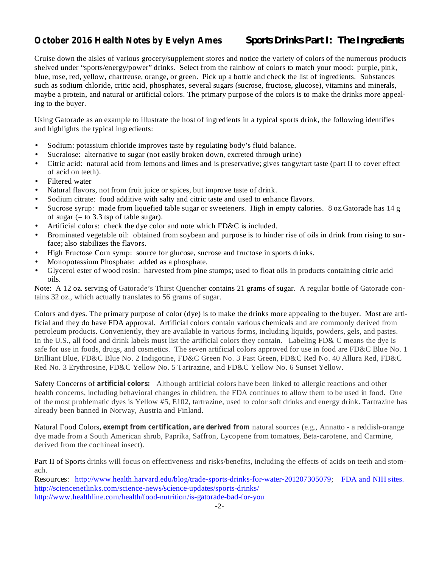## **October 2016 Health Notes by Evelyn Ames**

## *Sports Drinks Part I: The Ingredients*

Cruise down the aisles of various grocery/supplement stores and notice the variety of colors of the numerous products shelved under "sports/energy/power" drinks. Select from the rainbow of colors to match your mood: purple, pink, blue, rose, red, yellow, chartreuse, orange, or green. Pick up a bottle and check the list of ingredients. Substances such as sodium chloride, critic acid, phosphates, several sugars (sucrose, fructose, glucose), vitamins and minerals, maybe a protein, and natural or artificial colors. The primary purpose of the colors is to make the drinks more appealing to the buyer.

Using Gatorade as an example to illustrate the host of ingredients in a typical sports drink, the following identifies and highlights the typical ingredients:

- Sodium: potassium chloride improves taste by regulating body's fluid balance. •
- Sucralose: alternative to sugar (not easily broken down, excreted through urine) •
- Citric acid: natural acid from lemons and limes and is preservative; gives tangy/tart taste (part II to cover effect of acid on teeth). •
- Filtered water •
- Natural flavors, not from fruit juice or spices, but improve taste of drink. •
- Sodium citrate: food additive with salty and citric taste and used to enhance flavors. •
- Sucrose syrup: made from liquefied table sugar or sweeteners. High in empty calories. 8 oz.Gatorade has 14 g of sugar  $(=$  to 3.3 tsp of table sugar). •
- Artificial colors: check the dye color and note which FD&C is included. •
- Brominated vegetable oil: obtained from soybean and purpose is to hinder rise of oils in drink from rising to surface; also stabilizes the flavors. •
- High Fructose Corn syrup: source for glucose, sucrose and fructose in sports drinks. •
- Monopotassium Phosphate: added as a phosphate. •
- Glycerol ester of wood rosin: harvested from pine stumps; used to float oils in products containing citric acid oils. •

Note: A 12 oz. serving of Gatorade's Thirst Quencher contains 21 grams of sugar. A regular bottle of Gatorade contains 32 oz., which actually translates to 56 grams of sugar.

Colors and dyes. The primary purpose of color (dye) is to make the drinks more appealing to the buyer. Most are artificial and they do have FDA approval. Artificial colors contain various chemicals and are commonly derived from petroleum products. Conveniently, they are available in various forms, including liquids, powders, gels, and pastes. In the U.S., all food and drink labels must list the artificial colors they contain. Labeling FD& C means the dye is safe for use in foods, drugs, and cosmetics. The seven artificial colors approved for use in food are FD&C Blue No. 1 Brilliant Blue, FD&C Blue No. 2 Indigotine, FD&C Green No. 3 Fast Green, FD&C Red No. 40 Allura Red, FD&C Red No. 3 Erythrosine, FD&C Yellow No. 5 Tartrazine, and FD&C Yellow No. 6 Sunset Yellow.

Safety Concerns of artificial colors: Although artificial colors have been linked to allergic reactions and other health concerns, including behavioral changes in children, the FDA continues to allow them to be used in food. One of the most problematic dyes is Yellow #5, E102, tartrazine, used to color soft drinks and energy drink. Tartrazine has already been banned in Norway, Austria and Finland.

**Natural Food Colors, exempt from certification, are derived from natural sources (e.g., Annatto - a reddish-orange** dye made from a South American shrub, Paprika, Saffron, Lycopene from tomatoes, Beta-carotene, and Carmine, derived from the cochineal insect).

Part II of Sports drinks will focus on effectiveness and risks/benefits, including the effects of acids on teeth and stomach.

Resources: http://www.health.harvard.edu/blog/trade-sports-drinks-for-water-201207305079; FDA and NIH sites. http://sciencenetlinks.com/science-news/science-updates/sports-drinks/ http://www.healthline.com/health/food-nutrition/is-gatorade-bad-for-you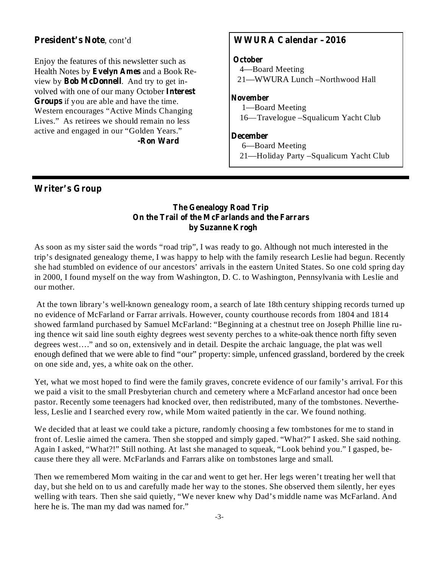## **President's Note** , cont'd

Health Notes by Evelyn Ames and a Book Review by **Bob McDonnell**. And try to get involved with one of our many October Interest **Groups** if you are able and have the time. Enjoy the features of this newsletter such as Western encourages "Active Minds Changing Lives." As retirees we should remain no less active and engaged in our "Golden Years."

**-Ron Ward**

## **WWURA Calendar –2016**

#### **October**

4—Board Meeting 21—WWURA Lunch –Northwood Hall

#### **November**

1—Board Meeting 16—Travelogue –Squalicum Yacht Club

#### **December**

6—Board Meeting

21—Holiday Party –Squalicum Yacht Club

## **Writer's Group**

### **The Genealogy Road Trip On the Trail of the McFarlands and the Farrars by Suzanne Krogh**

As soon as my sister said the words "road trip", I was ready to go. Although not much interested in the trip's designated genealogy theme, I was happy to help with the family research Leslie had begun. Recently she had stumbled on evidence of our ancestors' arrivals in the eastern United States. So one cold spring day in 2000, I found myself on the way from Washington, D. C. to Washington, Pennsylvania with Leslie and our mother.

At the town library's well-known genealogy room, a search of late 18th century shipping records turned up no evidence of McFarland or Farrar arrivals. However, county courthouse records from 1804 and 1814 showed farmland purchased by Samuel McFarland: "Beginning at a chestnut tree on Joseph Phillie line ruing thence wit said line south eighty degrees west seventy perches to a white-oak thence north fifty seven degrees west…." and so on, extensively and in detail. Despite the archaic language, the plat was well enough defined that we were able to find "our" property: simple, unfenced grassland, bordered by the creek on one side and, yes, a white oak on the other.

Yet, what we most hoped to find were the family graves, concrete evidence of our family's arrival. For this we paid a visit to the small Presbyterian church and cemetery where a McFarland ancestor had once been pastor. Recently some teenagers had knocked over, then redistributed, many of the tombstones. Nevertheless, Leslie and I searched every row, while Mom waited patiently in the car. We found nothing.

We decided that at least we could take a picture, randomly choosing a few tombstones for me to stand in front of. Leslie aimed the camera. Then she stopped and simply gaped. "What?" I asked. She said nothing. Again I asked, "What?!" Still nothing. At last she managed to squeak, "Look behind you." I gasped, because there they all were. McFarlands and Farrars alike on tombstones large and small.

Then we remembered Mom waiting in the car and went to get her. Her legs weren't treating her well that day, but she held on to us and carefully made her way to the stones. She observed them silently, her eyes welling with tears. Then she said quietly, "We never knew why Dad's middle name was McFarland. And here he is. The man my dad was named for."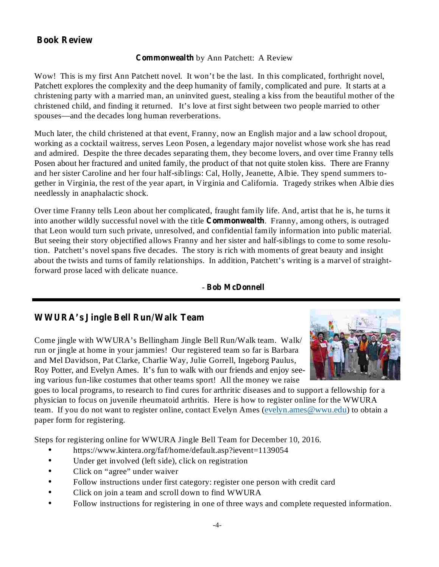## **Book Review**

## **Commonwealth** by Ann Patchett: A Review

Wow! This is my first Ann Patchett novel. It won't be the last. In this complicated, forthright novel, Patchett explores the complexity and the deep humanity of family, complicated and pure. It starts at a christening party with a married man, an uninvited guest, stealing a kiss from the beautiful mother of the christened child, and finding it returned. It's love at first sight between two people married to other spouses—and the decades long human reverberations.

Much later, the child christened at that event, Franny, now an English major and a law school dropout, working as a cocktail waitress, serves Leon Posen, a legendary major novelist whose work she has read and admired. Despite the three decades separating them, they become lovers, and over time Franny tells Posen about her fractured and united family, the product of that not quite stolen kiss. There are Franny and her sister Caroline and her four half-siblings: Cal, Holly, Jeanette, Albie. They spend summers together in Virginia, the rest of the year apart, in Virginia and California. Tragedy strikes when Albie dies needlessly in anaphalactic shock.

Over time Franny tells Leon about her complicated, fraught family life. And, artist that he is, he turns it into another wildly successful novel with the title **Commonwealth**. Franny, among others, is outraged that Leon would turn such private, unresolved, and confidential family information into public material. But seeing their story objectified allows Franny and her sister and half-siblings to come to some resolution. Patchett's novel spans five decades. The story is rich with moments of great beauty and insight about the twists and turns of family relationships. In addition, Patchett's writing is a marvel of straightforward prose laced with delicate nuance.

## - **Bob McDonnell**

## **WWURA's Jingle Bell Run/Walk Team**

Come jingle with WWURA's Bellingham Jingle Bell Run/Walk team. Walk/ run or jingle at home in your jammies! Our registered team so far is Barbara and Mel Davidson, Pat Clarke, Charlie Way, Julie Gorrell, Ingeborg Paulus, Roy Potter, and Evelyn Ames. It's fun to walk with our friends and enjoy seeing various fun-like costumes that other teams sport! All the money we raise



goes to local programs, to research to find cures for arthritic diseases and to support a fellowship for a physician to focus on juvenile rheumatoid arthritis. Here is how to register online for the WWURA team. If you do not want to register online, contact Evelyn Ames (evelyn.ames@wwu.edu) to obtain a paper form for registering.

Steps for registering online for WWURA Jingle Bell Team for December 10, 2016.

- https://www.kintera.org/faf/home/default.asp?ievent=1139054 •
- Under get involved (left side), click on registration •
- Click on "agree" under waiver •
- Follow instructions under first category: register one person with credit card •
- Click on join a team and scroll down to find WWURA •
- Follow instructions for registering in one of three ways and complete requested information. •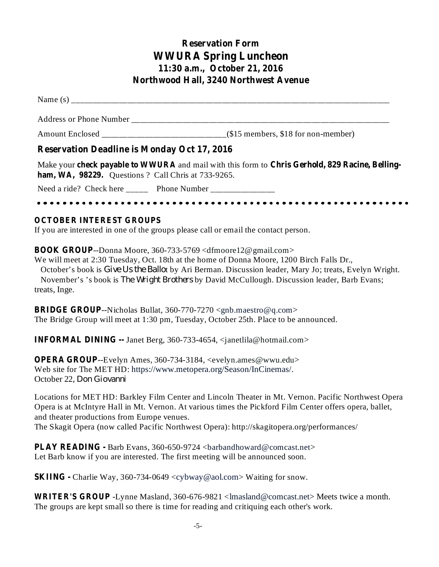## **Reservation Form WWURA Spring Luncheon 11:30 a.m., October 21, 2016 Northwood Hall, 3240 Northwest Avenue**

Name  $(s)$ 

Address or Phone Number

Amount Enclosed \_\_\_\_\_\_\_\_\_\_\_\_\_\_\_\_\_\_\_\_\_\_\_\_\_\_\_\_\_(\$15 members, \$18 for non-member)

## **Reservation Deadline is Monday Oct 17, 2016**

Make your check payable to WWURA and mail with this form to Chris Gerhold, 829 Racine, Belling**ham, WA, 98229.** Questions ? Call Chris at 733-9265.

Need a ride? Check here \_\_\_\_\_\_ Phone Number \_\_\_\_\_\_\_\_\_\_\_\_\_\_

If you are interested in one of the groups please call or email the contact person. **OCTOBER INTEREST GROUPS**

**BOOK GROUP**--Donna Moore, 360-733-5769 <dfmoore12@gmail.com>

We will meet at 2:30 Tuesday, Oct. 18th at the home of Donna Moore, 1200 Birch Falls Dr., October's book is *Give Us the Ballot* by Ari Berman. Discussion leader, Mary Jo; treats, Evelyn Wright. November's 's book is *The Wright Brothers* by David McCullough. Discussion leader, Barb Evans; treats, Inge.

**BRIDGE GROUP**--Nicholas Bullat, 360-770-7270 <gnb.maestro@q.com> The Bridge Group will meet at 1:30 pm, Tuesday, October 25th. Place to be announced.

**INFORMAL DINING --** Janet Berg, 360-733-4654, <janetlila@hotmail.com>

**OPERA GROUP**--Evelyn Ames, 360-734-3184, <evelyn.ames@wwu.edu> Web site for The MET HD: https://www.metopera.org/Season/InCinemas/. October 22 *, Don Giovanni*

Locations for MET HD: Barkley Film Center and Lincoln Theater in Mt. Vernon. Pacific Northwest Opera Opera is at McIntyre Hall in Mt. Vernon. At various times the Pickford Film Center offers opera, ballet, and theater productions from Europe venues. The Skagit Opera (now called Pacific Northwest Opera): http://skagitopera.org/performances/

PLAY READING - Barb Evans, 360-650-9724 <br/>bandhoward@comcast.net> Let Barb know if you are interested. The first meeting will be announced soon.

**SKIING** - Charlie Way, 360-734-0649 <cybway@aol.com> Waiting for snow.

WRITER'S GROUP -Lynne Masland, 360-676-9821 <lmasland@comcast.net>Meets twice a month. The groups are kept small so there is time for reading and critiquing each other's work.